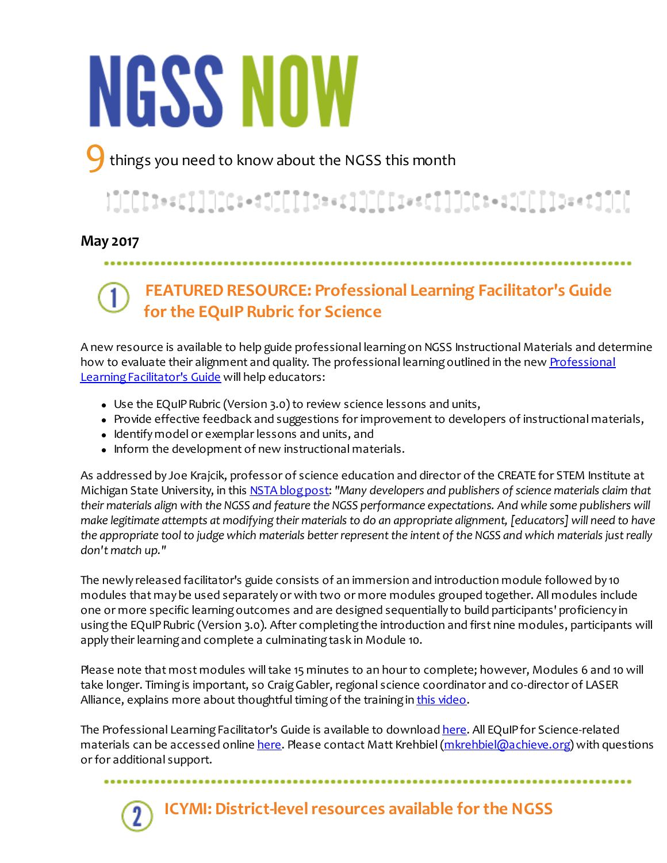# **NGSS NOW**

things you need to know about the NGSS this month

## 

#### **May 2017**

#### ......................

## **FEATURED RESOURCE: Professional Learning Facilitator's Guide for the EQuIP Rubric for Science**

A new resource is available to help guide professional learning on NGSS Instructional Materials and determine [how to evaluate their alignment and quality. The professional learning outlined in the new Professional](https://www.nextgenscience.org/resources/equip-professional-learning-facilitator%E2%80%99s-guide-v30) Learning Facilitator's Guide will help educators:

- Use the EQuIP Rubric (Version 3.0) to review science lessons and units,
- Provide effective feedback and suggestions for improvement to developers of instructional materials,
- Identify model or exemplar lessons and units, and
- Inform the development of new instructional materials.

As addressed by Joe Krajcik, professor of science education and director of the CREATE for STEM Institute at Michigan State University, in this [NSTA blog post](http://nstacommunities.org/blog/2014/04/25/equip/): *"Many developers and publishers of science materials claim that their materials align with the NGSS and feature the NGSS performance expectations. And while some publishers will make legitimate attempts at modifying their materials to do an appropriate alignment, [educators] will need to have the appropriate tool to judge which materials better represent the intent of the NGSS and which materials just really don't match up."*

The newly released facilitator's guide consists of an immersion and introduction module followed by 10 modules that may be used separately or with two or more modules grouped together. All modules include one or more specific learning outcomes and are designed sequentially to build participants' proficiency in using the EQuIP Rubric (Version 3.0). After completing the introduction and first nine modules, participants will apply their learning and complete a culminating task in Module 10.

Please note that most modules will take 15 minutes to an hour to complete; however, Modules 6 and 10 will take longer. Timing is important, so Craig Gabler, regional science coordinator and co-director of LASER Alliance, explains more about thoughtful timing of the training in [this video](https://vimeo.com/120659057).

The Professional Learning Facilitator's Guide is available to download [here](https://www.nextgenscience.org/resources/equip-professional-learning-facilitator%E2%80%99s-guide-v30). All EQuIP for Science-related materials can be accessed online [here](https://www.nextgenscience.org/resources/equip-rubric-lessons-units-science). Please contact Matt Krehbiel [\(mkrehbiel@achieve.org](mailto:mkrehbiel@achieve.org)) with questions or for additional support.

..........................



**ICYMI: District-level resources available for the NGSS**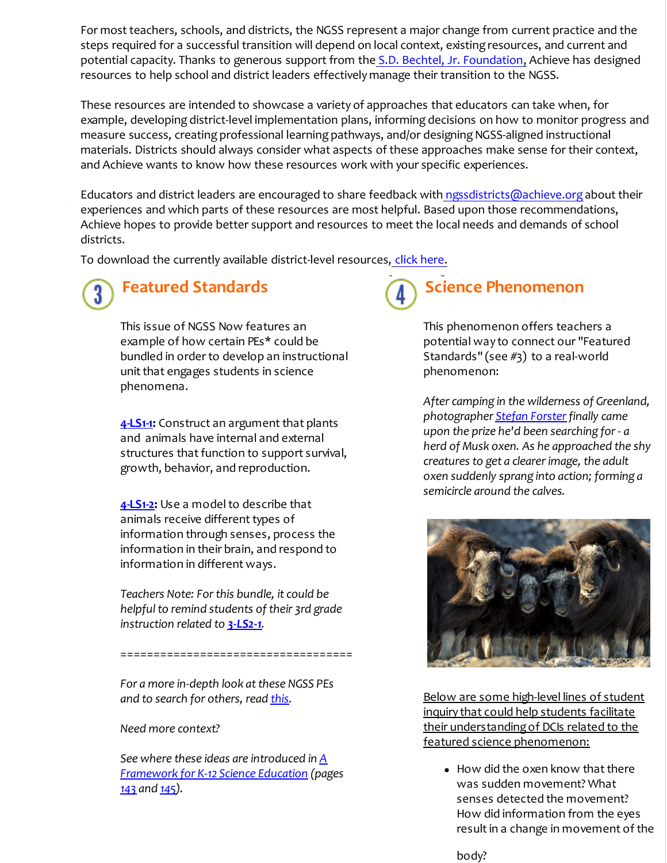For most teachers, schools, and districts, the NGSS represent a major change from current practice and the steps required for a successful transition will depend on local context, existing resources, and current and potential capacity. Thanks to generous support from the [S.D. Bechtel, Jr. Foundation,](http://sdbjrfoundation.org/the-foundation/) Achieve has designed resources to help school and district leaders effectively manage their transition to the NGSS.

These resources are intended to showcase a variety of approaches that educators can take when, for example, developing district-level implementation plans, informing decisions on how to monitor progress and measure success, creating professional learning pathways, and/or designing NGSS-aligned instructional materials. Districts should always consider what aspects of these approaches make sense for their context, and Achieve wants to know how these resources work with your specific experiences.

Educators and district leaders are encouraged to share feedback with [ngssdistricts@achieve.org](mailto:ngssdistricts@achieve.org) about their experiences and which parts of these resources are most helpful. Based upon those recommendations, Achieve hopes to provide better support and resources to meet the local needs and demands of school districts.

To download the currently available district-level resources, [click here](https://www.nextgenscience.org/districtresources).

# **Featured Standards**

This issue of NGSS Now features an example of how certain PEs\* could be bundled in order to develop an instructional unit that engages students in science phenomena.

**[4-LS1-1](https://nextgenscience.org/dci-arrangement/4-ls1-molecules-organisms-structures-and-processes):** Construct an argument that plants and animals have internal and external structures that function to support survival, growth, behavior, and reproduction.

**[4-LS1-2](https://www.nextgenscience.org/pe/4-ls1-2-molecules-organisms-structures-and-processes):** Use a model to describe that animals receive different types of information through senses, process the information in their brain, and respond to information in different ways.

*Teachers Note: For this bundle, it could be helpful to remind students of their 3rd grade instruction related to [3-LS2-1](https://nextgenscience.org/sites/default/files/evidence_statement/black_white/3-LS2-1 Evidence Statements June 2015 asterisks.pdf).*

===================================

*For a more in-depth look at these NGSS PEs and to search for others, read [this](http://www.nextgenscience.org/search-standards).* 

*Need more context?* 

*[See where these ideas are introduced in A](https://www.nap.edu/catalog/13165/a-framework-for-k-12-science-education-practices-crosscutting-concepts) Framework for K-12 Science Education (pages [143](https://www.nap.edu/read/13165/chapter/10#143) and [145](https://www.nap.edu/read/13165/chapter/10#145)).* 



### **Science Phenomenon**

This phenomenon offers teachers a potential way to connect our "Featured Standards" (see #3) to a real-world phenomenon:

*After camping in the wilderness of Greenland, photographer [Stefan Forster](http://www.stefanforster.com/photography/en/content/best-0#/image/5566) finally came upon the prize he'd been searching for - a herd of Musk oxen. As he approached the shy creatures to get a clearer image, the adult oxen suddenly sprang into action; forming a semicircle around the calves.*



Below are some high-level lines of student inquiry that could help students facilitate their understanding of DCIs related to the featured science phenomenon:

• How did the oxen know that there was sudden movement? What senses detected the movement? How did information from the eyes result in a change in movement of the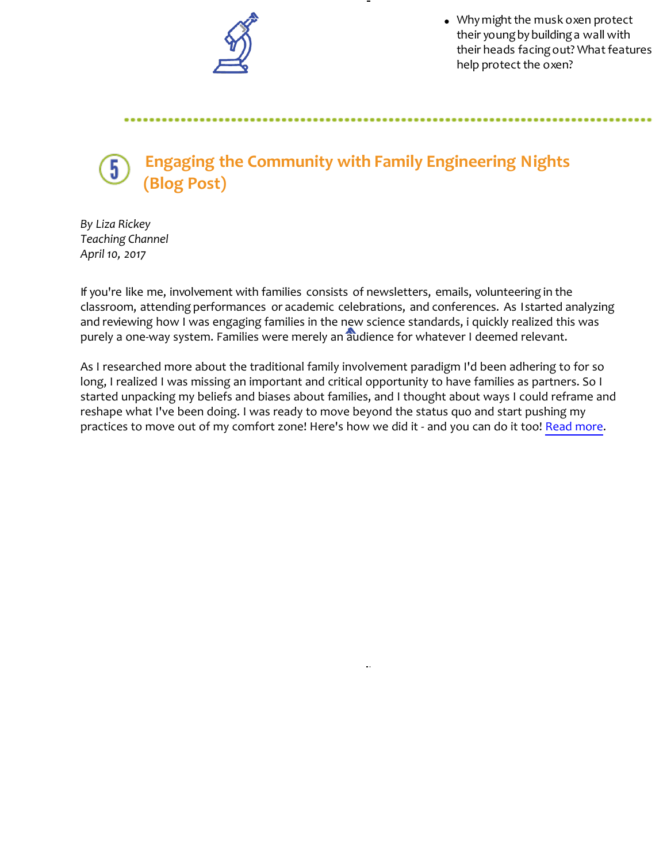

Why might the musk oxen protect their young by building a wall with their heads facing out? What features help protect the oxen?

body and the second second second second second second second second second second second second second second

## **Engaging the Community with Family Engineering Nights (Blog Post)**

*By Liza Rickey Teaching Channel April 10, 2017*

If you're like me, involvement with families consists of newsletters, emails, volunteering in the classroom, attending performances or academic celebrations, and conferences. As I started analyzing and reviewing how I was engaging families in the new science standards, i quickly realized this was purely a one-way system. Families were merely an audience for whatever I deemed relevant.

As I researched more about the traditional family involvement paradigm I'd been adhering to for so long, I realized I was missing an important and critical opportunity to have families as partners. So I started unpacking my beliefs and biases about families, and I thought about ways I could reframe and reshape what I've been doing. I was ready to move beyond the status quo and start pushing my practices to move out of my comfort zone! Here's how we did it - and you can do it too! [Read more.](https://www.teachingchannel.org/blog/2017/04/10/family-engineering-nights/)

 $\bar{\alpha}$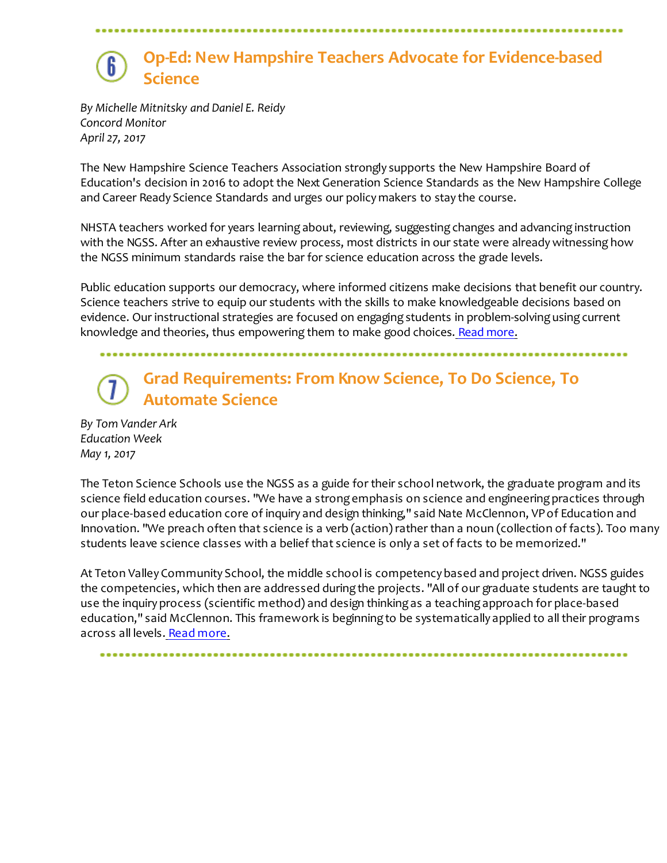## **Op-Ed: New Hampshire Teachers Advocate for Evidence-based Science**

*By Michelle Mitnitsky and Daniel E. Reidy Concord Monitor April 27, 2017*

The New Hampshire Science Teachers Association strongly supports the New Hampshire Board of Education's decision in 2016 to adopt the Next Generation Science Standards as the New Hampshire College and Career Ready Science Standards and urges our policy makers to stay the course.

NHSTA teachers worked for years learning about, reviewing, suggesting changes and advancing instruction with the NGSS. After an exhaustive review process, most districts in our state were already witnessing how the NGSS minimum standards raise the bar for science education across the grade levels.

Public education supports our democracy, where informed citizens make decisions that benefit our country. Science teachers strive to equip our students with the skills to make knowledgeable decisions based on evidence. Our instructional strategies are focused on engaging students in problem-solving using current knowledge and theories, thus empowering them to make good choices. [Read more](http://www.concordmonitor.com/Evidence-based-science-is-key-to-an-informed-citizenry-9514848).

## **Grad Requirements: From Know Science, To Do Science, To Automate Science**

*By Tom Vander Ark Education Week May 1, 2017*

The Teton Science Schools use the NGSS as a guide for their school network, the graduate program and its science field education courses. "We have a strong emphasis on science and engineering practices through our place-based education core of inquiry and design thinking," said Nate McClennon, VP of Education and Innovation. "We preach often that science is a verb (action) rather than a noun (collection of facts). Too many students leave science classes with a belief that science is only a set of facts to be memorized."

At Teton Valley Community School, the middle school is competency based and project driven. NGSS guides the competencies, which then are addressed during the projects. "All of our graduate students are taught to use the inquiry process (scientific method) and design thinking as a teaching approach for place-based education," said McClennon. This framework is beginning to be systematically applied to all their programs across all levels. [Read more](http://blogs.edweek.org/edweek/on_innovation/2017/05/grad_requirements_from_know_science_to_do_science_to_automate_science.html).